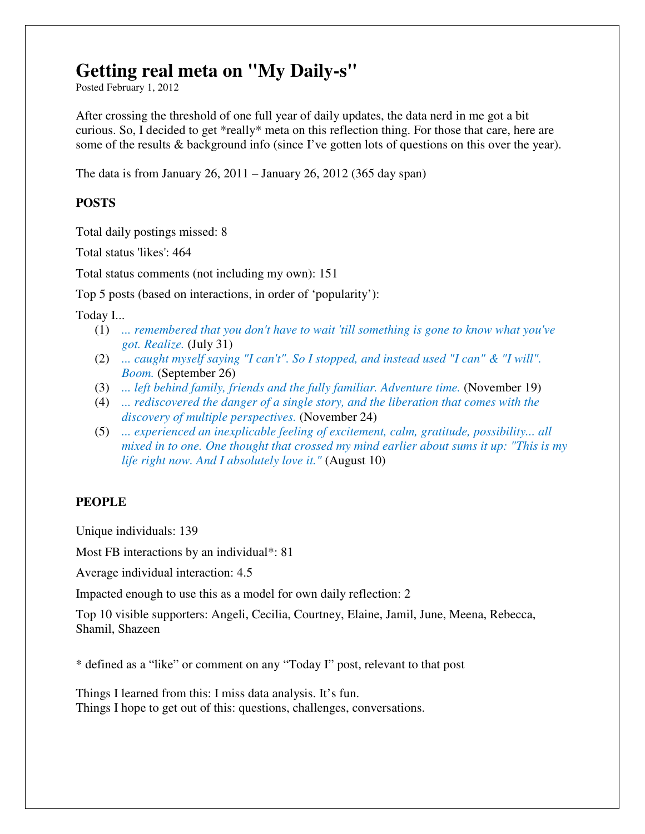# **Getting real meta on "My Daily-s"**

Posted February 1, 2012

After crossing the threshold of one full year of daily updates, the data nerd in me got a bit curious. So, I decided to get \*really\* meta on this reflection thing. For those that care, here are some of the results & background info (since I've gotten lots of questions on this over the year).

The data is from January 26, 2011 – January 26, 2012 (365 day span)

# **POSTS**

Total daily postings missed: 8

Total status 'likes': 464

Total status comments (not including my own): 151

Top 5 posts (based on interactions, in order of 'popularity'):

Today I...

- (1) *... remembered that you don't have to wait 'till something is gone to know what you've got. Realize.* (July 31)
- (2) *... caught myself saying "I can't". So I stopped, and instead used "I can" & "I will". Boom.* (September 26)
- (3) *... left behind family, friends and the fully familiar. Adventure time.* (November 19)
- (4) *... rediscovered the danger of a single story, and the liberation that comes with the discovery of multiple perspectives.* (November 24)
- (5) *... experienced an inexplicable feeling of excitement, calm, gratitude, possibility... all mixed in to one. One thought that crossed my mind earlier about sums it up: "This is my life right now. And I absolutely love it."* (August 10)

# **PEOPLE**

Unique individuals: 139

Most FB interactions by an individual\*: 81

Average individual interaction: 4.5

Impacted enough to use this as a model for own daily reflection: 2

Top 10 visible supporters: Angeli, Cecilia, Courtney, Elaine, Jamil, June, Meena, Rebecca, Shamil, Shazeen

\* defined as a "like" or comment on any "Today I" post, relevant to that post

Things I learned from this: I miss data analysis. It's fun. Things I hope to get out of this: questions, challenges, conversations.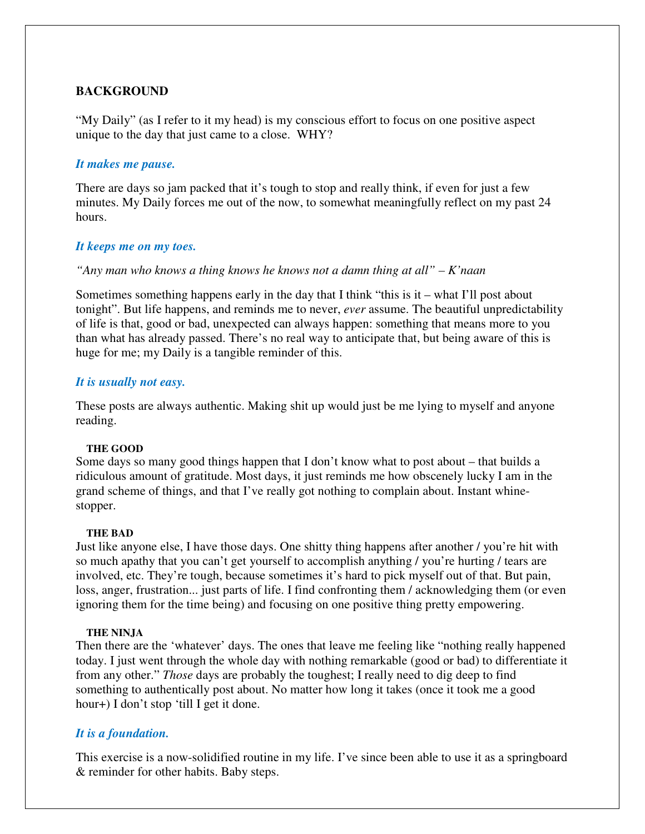# **BACKGROUND**

"My Daily" (as I refer to it my head) is my conscious effort to focus on one positive aspect unique to the day that just came to a close. WHY?

#### *It makes me pause.*

There are days so jam packed that it's tough to stop and really think, if even for just a few minutes. My Daily forces me out of the now, to somewhat meaningfully reflect on my past 24 hours.

## *It keeps me on my toes.*

#### *"Any man who knows a thing knows he knows not a damn thing at all" – K'naan*

Sometimes something happens early in the day that I think "this is it – what I'll post about tonight". But life happens, and reminds me to never, *ever* assume. The beautiful unpredictability of life is that, good or bad, unexpected can always happen: something that means more to you than what has already passed. There's no real way to anticipate that, but being aware of this is huge for me; my Daily is a tangible reminder of this.

#### *It is usually not easy.*

These posts are always authentic. Making shit up would just be me lying to myself and anyone reading.

#### **THE GOOD**

Some days so many good things happen that I don't know what to post about – that builds a ridiculous amount of gratitude. Most days, it just reminds me how obscenely lucky I am in the grand scheme of things, and that I've really got nothing to complain about. Instant whinestopper.

#### **THE BAD**

Just like anyone else, I have those days. One shitty thing happens after another / you're hit with so much apathy that you can't get yourself to accomplish anything / you're hurting / tears are involved, etc. They're tough, because sometimes it's hard to pick myself out of that. But pain, loss, anger, frustration... just parts of life. I find confronting them / acknowledging them (or even ignoring them for the time being) and focusing on one positive thing pretty empowering.

#### **THE NINJA**

Then there are the 'whatever' days. The ones that leave me feeling like "nothing really happened today. I just went through the whole day with nothing remarkable (good or bad) to differentiate it from any other." *Those* days are probably the toughest; I really need to dig deep to find something to authentically post about. No matter how long it takes (once it took me a good hour+) I don't stop 'till I get it done.

## *It is a foundation.*

This exercise is a now-solidified routine in my life. I've since been able to use it as a springboard & reminder for other habits. Baby steps.